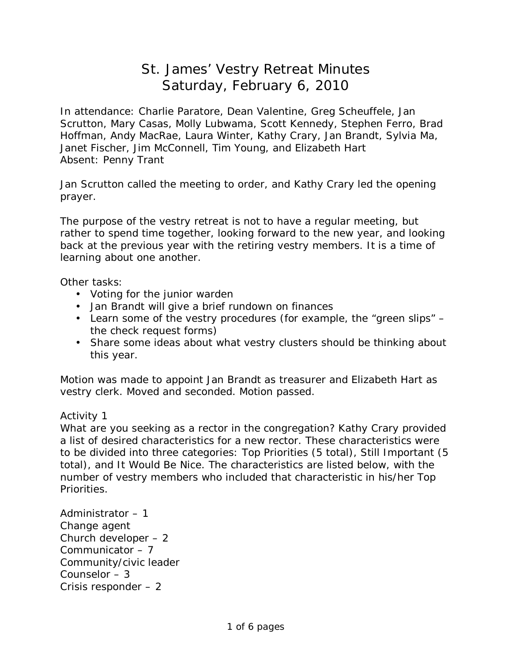## St. James' Vestry Retreat Minutes Saturday, February 6, 2010

In attendance: Charlie Paratore, Dean Valentine, Greg Scheuffele, Jan Scrutton, Mary Casas, Molly Lubwama, Scott Kennedy, Stephen Ferro, Brad Hoffman, Andy MacRae, Laura Winter, Kathy Crary, Jan Brandt, Sylvia Ma, Janet Fischer, Jim McConnell, Tim Young, and Elizabeth Hart Absent: Penny Trant

Jan Scrutton called the meeting to order, and Kathy Crary led the opening prayer.

The purpose of the vestry retreat is not to have a regular meeting, but rather to spend time together, looking forward to the new year, and looking back at the previous year with the retiring vestry members. It is a time of learning about one another.

Other tasks:

- Voting for the junior warden
- Jan Brandt will give a brief rundown on finances
- Learn some of the vestry procedures (for example, the "green slips" the check request forms)
- Share some ideas about what vestry clusters should be thinking about this year.

Motion was made to appoint Jan Brandt as treasurer and Elizabeth Hart as vestry clerk. Moved and seconded. Motion passed.

Activity 1

What are you seeking as a rector in the congregation? Kathy Crary provided a list of desired characteristics for a new rector. These characteristics were to be divided into three categories: Top Priorities (5 total), Still Important (5 total), and It Would Be Nice. The characteristics are listed below, with the number of vestry members who included that characteristic in his/her Top Priorities.

Administrator – 1 Change agent Church developer – 2 Communicator – 7 Community/civic leader Counselor – 3 Crisis responder – 2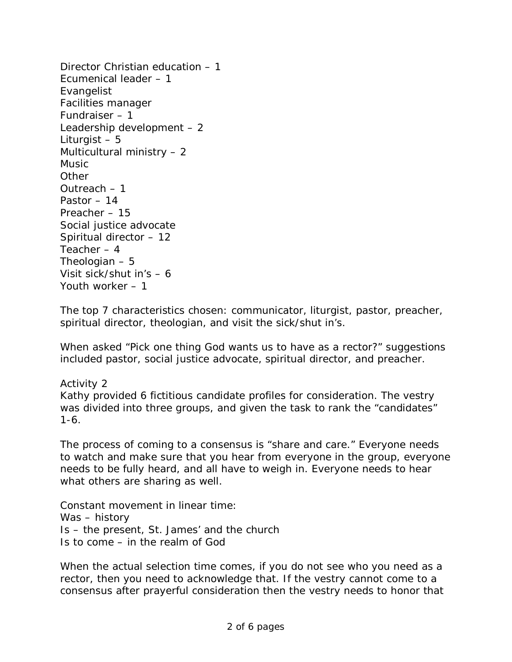Director Christian education – 1 Ecumenical leader – 1 Evangelist Facilities manager Fundraiser – 1 Leadership development – 2 Liturgist – 5 Multicultural ministry – 2 Music **Other** Outreach – 1 Pastor – 14 Preacher – 15 Social justice advocate Spiritual director – 12 Teacher – 4 Theologian – 5 Visit sick/shut in's – 6 Youth worker – 1

The top 7 characteristics chosen: communicator, liturgist, pastor, preacher, spiritual director, theologian, and visit the sick/shut in's.

When asked "Pick one thing God wants us to have as a rector?" suggestions included pastor, social justice advocate, spiritual director, and preacher.

Activity 2 Kathy provided 6 fictitious candidate profiles for consideration. The vestry was divided into three groups, and given the task to rank the "candidates" 1-6.

The process of coming to a consensus is "share and care." Everyone needs to watch and make sure that you hear from everyone in the group, everyone needs to be fully heard, and all have to weigh in. Everyone needs to hear what others are sharing as well.

Constant movement in linear time: Was – history Is – the present, St. James' and the church Is to come – in the realm of God

When the actual selection time comes, if you do not see who you need as a rector, then you need to acknowledge that. If the vestry cannot come to a consensus after prayerful consideration then the vestry needs to honor that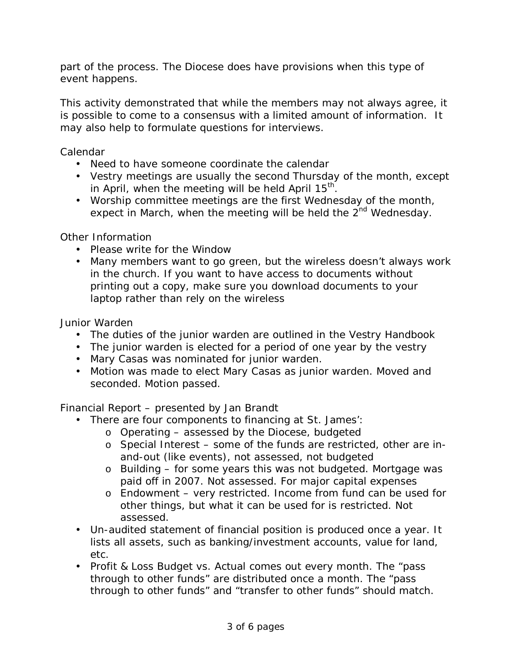part of the process. The Diocese does have provisions when this type of event happens.

This activity demonstrated that while the members may not always agree, it is possible to come to a consensus with a limited amount of information. It may also help to formulate questions for interviews.

Calendar

- Need to have someone coordinate the calendar
- Vestry meetings are usually the second Thursday of the month, except in April, when the meeting will be held April 15<sup>th</sup>.
- Worship committee meetings are the first Wednesday of the month, expect in March, when the meeting will be held the  $2<sup>nd</sup>$  Wednesday.

Other Information

- Please write for the Window
- Many members want to go green, but the wireless doesn't always work in the church. If you want to have access to documents without printing out a copy, make sure you download documents to your laptop rather than rely on the wireless

Junior Warden

- The duties of the junior warden are outlined in the Vestry Handbook
- The junior warden is elected for a period of one year by the vestry
- Mary Casas was nominated for junior warden.
- Motion was made to elect Mary Casas as junior warden. Moved and seconded. Motion passed.

Financial Report – presented by Jan Brandt

- There are four components to financing at St. James':
	- o Operating assessed by the Diocese, budgeted
	- o Special Interest some of the funds are restricted, other are inand-out (like events), not assessed, not budgeted
	- o Building for some years this was not budgeted. Mortgage was paid off in 2007. Not assessed. For major capital expenses
	- o Endowment very restricted. Income from fund can be used for other things, but what it can be used for is restricted. Not assessed.
- Un-audited statement of financial position is produced once a year. It lists all assets, such as banking/investment accounts, value for land, etc.
- Profit & Loss Budget vs. Actual comes out every month. The "pass through to other funds" are distributed once a month. The "pass through to other funds" and "transfer to other funds" should match.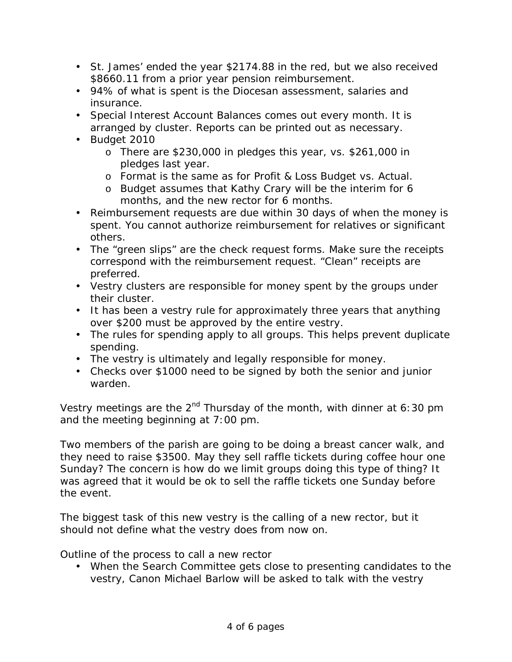- St. James' ended the year \$2174.88 in the red, but we also received \$8660.11 from a prior year pension reimbursement.
- 94% of what is spent is the Diocesan assessment, salaries and insurance.
- Special Interest Account Balances comes out every month. It is arranged by cluster. Reports can be printed out as necessary.
- Budget 2010
	- o There are \$230,000 in pledges this year, vs. \$261,000 in pledges last year.
	- o Format is the same as for Profit & Loss Budget vs. Actual.
	- o Budget assumes that Kathy Crary will be the interim for 6 months, and the new rector for 6 months.
- Reimbursement requests are due within 30 days of when the money is spent. You cannot authorize reimbursement for relatives or significant others.
- The "green slips" are the check request forms. Make sure the receipts correspond with the reimbursement request. "Clean" receipts are preferred.
- Vestry clusters are responsible for money spent by the groups under their cluster.
- It has been a vestry rule for approximately three years that anything over \$200 must be approved by the entire vestry.
- The rules for spending apply to all groups. This helps prevent duplicate spending.
- The vestry is ultimately and legally responsible for money.
- Checks over \$1000 need to be signed by both the senior and junior warden.

Vestry meetings are the  $2^{nd}$  Thursday of the month, with dinner at 6:30 pm and the meeting beginning at 7:00 pm.

Two members of the parish are going to be doing a breast cancer walk, and they need to raise \$3500. May they sell raffle tickets during coffee hour one Sunday? The concern is how do we limit groups doing this type of thing? It was agreed that it would be ok to sell the raffle tickets one Sunday before the event.

The biggest task of this new vestry is the calling of a new rector, but it should not define what the vestry does from now on.

Outline of the process to call a new rector

• When the Search Committee gets close to presenting candidates to the vestry, Canon Michael Barlow will be asked to talk with the vestry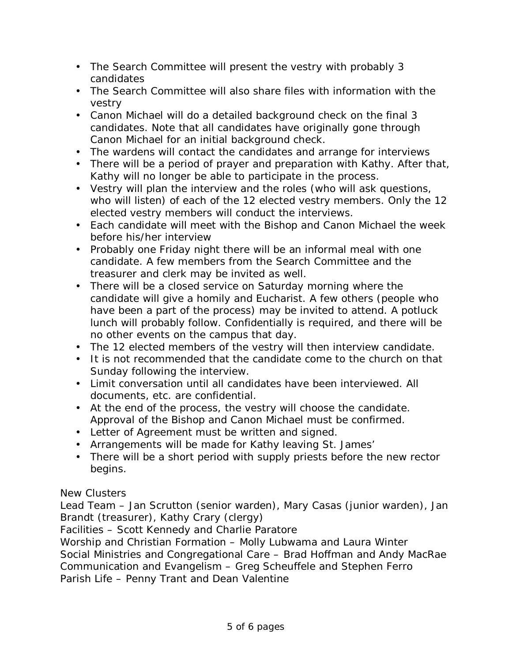- The Search Committee will present the vestry with probably 3 candidates
- The Search Committee will also share files with information with the vestry
- Canon Michael will do a detailed background check on the final 3 candidates. Note that all candidates have originally gone through Canon Michael for an initial background check.
- The wardens will contact the candidates and arrange for interviews
- There will be a period of prayer and preparation with Kathy. After that, Kathy will no longer be able to participate in the process.
- Vestry will plan the interview and the roles (who will ask questions, who will listen) of each of the 12 elected vestry members. Only the 12 elected vestry members will conduct the interviews.
- Each candidate will meet with the Bishop and Canon Michael the week before his/her interview
- Probably one Friday night there will be an informal meal with one candidate. A few members from the Search Committee and the treasurer and clerk may be invited as well.
- There will be a closed service on Saturday morning where the candidate will give a homily and Eucharist. A few others (people who have been a part of the process) may be invited to attend. A potluck lunch will probably follow. Confidentially is required, and there will be no other events on the campus that day.
- The 12 elected members of the vestry will then interview candidate.
- It is not recommended that the candidate come to the church on that Sunday following the interview.
- Limit conversation until all candidates have been interviewed. All documents, etc. are confidential.
- At the end of the process, the vestry will choose the candidate. Approval of the Bishop and Canon Michael must be confirmed.
- Letter of Agreement must be written and signed.
- Arrangements will be made for Kathy leaving St. James'
- There will be a short period with supply priests before the new rector begins.

## New Clusters

Lead Team – Jan Scrutton (senior warden), Mary Casas (junior warden), Jan Brandt (treasurer), Kathy Crary (clergy)

Facilities – Scott Kennedy and Charlie Paratore

Worship and Christian Formation – Molly Lubwama and Laura Winter Social Ministries and Congregational Care – Brad Hoffman and Andy MacRae Communication and Evangelism – Greg Scheuffele and Stephen Ferro Parish Life – Penny Trant and Dean Valentine